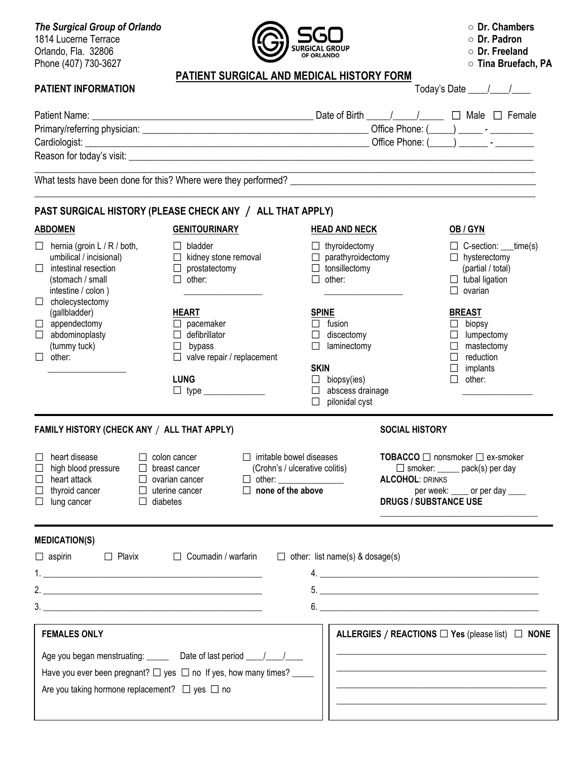**The Surgical Group of Orlando ○ blessure blessure and <b>blessure in the Surgical Group of Orlando Dr. Chambers** 1814 Lucerne Terrace **and Construction of the Construction of the Second Structure of the Second Structure of Dr. Padron**<br>Oriendo Ele 22906 Orlando, Fla. 32806 *Orlando***, Fla. 32806 COLLEGAL SUBSEX CONSUMING CONSUMING CONSUMING CONSUMING CONSUMING CONSUMING CONSUMING CONSUMING CONSUMING CONSUMING CONSUMING CONSUMING CONSUMING CONSUMING CONSUMING CONSUMING C** Phone (407) 730-3627 **○ Tina Bruefach, PA**



|  |  |  | $\circ\,$ Tina Bruefach, PA |  |
|--|--|--|-----------------------------|--|
|--|--|--|-----------------------------|--|

# **PATIENT SURGICAL AND MEDICAL HISTORY FORM PATIENT INFORMATION**  Today's Date  $\begin{array}{ccc} & \bullet & \bullet & \bullet & \bullet \\ \hline \end{array}$

|                                                           |  | $1000, 0000$ $1000$                                                      |
|-----------------------------------------------------------|--|--------------------------------------------------------------------------|
|                                                           |  | Date of Birth $\frac{1}{\sqrt{1-\frac{1}{2}}}$ $\Box$ Male $\Box$ Female |
|                                                           |  |                                                                          |
|                                                           |  |                                                                          |
|                                                           |  |                                                                          |
|                                                           |  |                                                                          |
| PAST SURGICAL HISTORY (PLEASE CHECK ANY / ALL THAT APPLY) |  |                                                                          |
|                                                           |  |                                                                          |

**ABDOMEN GENITOURINARY HEAD AND NECK OB / GYN**  $\Box$  hernia (groin L / R / both,  $\Box$  bladder  $\Box$  thyroidectomy  $\Box$  C-section: \_\_time(s) umbilical / incisional)  $\square$  kidney stone removal  $\square$  parathyroidectomy  $\square$  hysterectomy  $\square$  intestinal resection  $\square$  prostatectomy  $\square$  tonsillectomy (partial / total) (stomach / small  $\square$  other:  $\square$  other:  $\square$  other:  $\square$  tubal ligation  $\Box$  intestine / colon )  $\Box$   $\Box$  ovarian  $\Box$  cholecystectomy (gallbladder) **HEART SPINE BREAST**  $\Box$  appendectomy  $\Box$  pacemaker  $\Box$  fusion  $\Box$  biopsy  $\square$  abdominoplasty  $\square$  defibrillator  $\square$  discectomy  $\square$  lumpectomy (tummy tuck) and the subset of the synchromogeneous control of the synchromogeneous control of the synchromogeneous control of the synchromogeneous control of the synchromogeneous control of the synchromogeneous control of  $\Box$  other:  $\Box$  valve repair / replacement  $\Box$  reduction \_\_\_\_\_\_\_\_\_\_\_\_\_\_\_\_\_\_ **SKIN** implants LUNG **Definition**  $\Box$  biopsy(ies) **Definition**  $\Box$  other: type \_\_\_\_\_\_\_\_\_\_\_\_\_\_ abscess drainage \_\_\_\_\_\_\_\_\_\_\_\_\_\_\_\_  $\Box$  pilonidal cyst

# **FAMILY HISTORY (CHECK ANY** / **ALL THAT APPLY) SOCIAL HISTORY**

# $\Box$  heart disease  $\Box$  colon cancer  $\Box$  irritable bowel diseases **TOBACCO**  $\Box$  nonsmoker  $\Box$  ex-smoker **MEDICATION**

| $\Box$ reall disease<br>$\Box$ high blood pressure<br>$\Box$ heart attack<br>$\Box$ thyroid cancer<br>$\Box$ lung cancer | LI COIOII Cancer<br>$\Box$ breast cancer<br>$\Box$ ovarian cancer<br>$\Box$ uterine cancer<br>$\Box$ diabetes | <b>Let illustrie duwel giseases</b><br>(Crohn's / ulcerative colitis)<br>$\Box$ other: ________________<br>$\Box$ none of the above | <b>I UDACCU</b> $\Box$ IIOIISIIIOKEI $\Box$ EX-SIIIOKEI<br>$\Box$ smoker: ______ pack(s) per day<br><b>ALCOHOL: DRINKS</b><br>per week: _____ or per day ____<br><b>DRUGS / SUBSTANCE USE</b> |
|--------------------------------------------------------------------------------------------------------------------------|---------------------------------------------------------------------------------------------------------------|-------------------------------------------------------------------------------------------------------------------------------------|-----------------------------------------------------------------------------------------------------------------------------------------------------------------------------------------------|
| <b>MEDICATION(S)</b>                                                                                                     |                                                                                                               |                                                                                                                                     |                                                                                                                                                                                               |
| $\Box$ aspirin                                                                                                           | $\Box$ Plavix<br>$\Box$ Coumadin / warfarin                                                                   | $\Box$ other: list name(s) & dosage(s)                                                                                              |                                                                                                                                                                                               |
|                                                                                                                          |                                                                                                               |                                                                                                                                     |                                                                                                                                                                                               |
|                                                                                                                          |                                                                                                               |                                                                                                                                     | 5.                                                                                                                                                                                            |
|                                                                                                                          | $\frac{3}{2}$                                                                                                 |                                                                                                                                     | 6.                                                                                                                                                                                            |
| <b>FEMALES ONLY</b>                                                                                                      |                                                                                                               |                                                                                                                                     | ALLERGIES / REACTIONS $\square$ Yes (please list) $\square$ NONE                                                                                                                              |
| Age you began menstruating:                                                                                              | Date of last period                                                                                           |                                                                                                                                     |                                                                                                                                                                                               |

Have you ever been pregnant?  $\Box$  yes  $\Box$  no If yes, how many times?

Are you taking hormone replacement?  $\Box$  yes  $\Box$  no

| ALLERGIES / REACTIONS $\Box$ Yes (piease list) $\Box$ NONE |  |
|------------------------------------------------------------|--|
|                                                            |  |
|                                                            |  |
|                                                            |  |